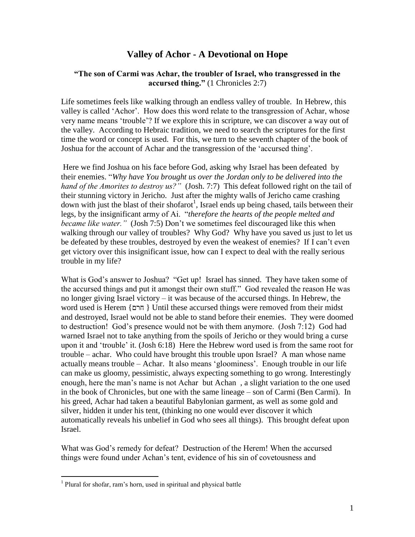### **Valley of Achor - A Devotional on Hope**

#### **"The son of Carmi was Achar, the troubler of Israel, who transgressed in the accursed thing."** (1 Chronicles 2:7)

Life sometimes feels like walking through an endless valley of trouble. In Hebrew, this valley is called "Achor". How does this word relate to the transgression of Achar, whose very name means "trouble"? If we explore this in scripture, we can discover a way out of the valley. According to Hebraic tradition, we need to search the scriptures for the first time the word or concept is used. For this, we turn to the seventh chapter of the book of Joshua for the account of Achar and the transgression of the "accursed thing".

Here we find Joshua on his face before God, asking why Israel has been defeated by their enemies. "*Why have You brought us over the Jordan only to be delivered into the hand of the Amorites to destroy us?"* (Josh. 7:7) This defeat followed right on the tail of their stunning victory in Jericho. Just after the mighty walls of Jericho came crashing down with just the blast of their shofarot<sup>1</sup>, Israel ends up being chased, tails between their legs, by the insignificant army of Ai. "*therefore the hearts of the people melted and became like water.*" (Josh 7:5) Don't we sometimes feel discouraged like this when walking through our valley of troubles? Why God? Why have you saved us just to let us be defeated by these troubles, destroyed by even the weakest of enemies? If I can"t even get victory over this insignificant issue, how can I expect to deal with the really serious trouble in my life?

What is God's answer to Joshua? "Get up! Israel has sinned. They have taken some of the accursed things and put it amongst their own stuff." God revealed the reason He was no longer giving Israel victory – it was because of the accursed things. In Hebrew, the word used is Herem {חרם { Until these accursed things were removed from their midst and destroyed, Israel would not be able to stand before their enemies. They were doomed to destruction! God"s presence would not be with them anymore. (Josh 7:12) God had warned Israel not to take anything from the spoils of Jericho or they would bring a curse upon it and "trouble" it. (Josh 6:18) Here the Hebrew word used is from the same root for trouble – achar. Who could have brought this trouble upon Israel? A man whose name actually means trouble – Achar. It also means "gloominess". Enough trouble in our life can make us gloomy, pessimistic, always expecting something to go wrong. Interestingly enough, here the man"s name is not Achar but Achan , a slight variation to the one used in the book of Chronicles, but one with the same lineage – son of Carmi (Ben Carmi). In his greed, Achar had taken a beautiful Babylonian garment, as well as some gold and silver, hidden it under his tent, (thinking no one would ever discover it which automatically reveals his unbelief in God who sees all things). This brought defeat upon Israel.

What was God"s remedy for defeat? Destruction of the Herem! When the accursed things were found under Achan"s tent, evidence of his sin of covetousness and

 $\overline{a}$ 

<sup>&</sup>lt;sup>1</sup> Plural for shofar, ram's horn, used in spiritual and physical battle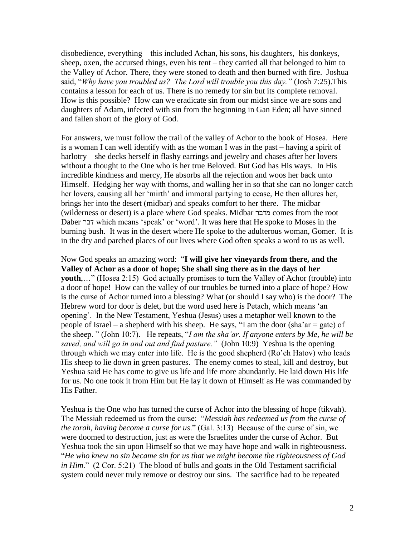disobedience, everything – this included Achan, his sons, his daughters, his donkeys, sheep, oxen, the accursed things, even his tent – they carried all that belonged to him to the Valley of Achor. There, they were stoned to death and then burned with fire. Joshua said, "*Why have you troubled us? The Lord will trouble you this day."* (Josh 7:25).This contains a lesson for each of us. There is no remedy for sin but its complete removal. How is this possible? How can we eradicate sin from our midst since we are sons and daughters of Adam, infected with sin from the beginning in Gan Eden; all have sinned and fallen short of the glory of God.

For answers, we must follow the trail of the valley of Achor to the book of Hosea. Here is a woman I can well identify with as the woman I was in the past – having a spirit of harlotry – she decks herself in flashy earrings and jewelry and chases after her lovers without a thought to the One who is her true Beloved. But God has His ways. In His incredible kindness and mercy, He absorbs all the rejection and woos her back unto Himself. Hedging her way with thorns, and walling her in so that she can no longer catch her lovers, causing all her 'mirth' and immoral partying to cease, He then allures her, brings her into the desert (midbar) and speaks comfort to her there. The midbar (wilderness or desert) is a place where God speaks. Midbar מדבר comes from the root Daber דבר which means "speak" or "word". It was here that He spoke to Moses in the burning bush. It was in the desert where He spoke to the adulterous woman, Gomer. It is in the dry and parched places of our lives where God often speaks a word to us as well.

Now God speaks an amazing word: "**I will give her vineyards from there, and the Valley of Achor as a door of hope; She shall sing there as in the days of her youth....**" (Hosea 2:15) God actually promises to turn the Valley of Achor (trouble) into a door of hope! How can the valley of our troubles be turned into a place of hope? How is the curse of Achor turned into a blessing? What (or should I say who) is the door? The Hebrew word for door is delet, but the word used here is Petach, which means "an opening". In the New Testament, Yeshua (Jesus) uses a metaphor well known to the people of Israel – a shepherd with his sheep. He says, "I am the door (sha'ar  $=$  gate) of the sheep. " (John 10:7). He repeats, "*I am the sha'ar. If anyone enters by Me, he will be saved, and will go in and out and find pasture."* (John 10:9) Yeshua is the opening through which we may enter into life. He is the good shepherd (Ro"eh Hatov) who leads His sheep to lie down in green pastures. The enemy comes to steal, kill and destroy, but Yeshua said He has come to give us life and life more abundantly. He laid down His life for us. No one took it from Him but He lay it down of Himself as He was commanded by His Father.

Yeshua is the One who has turned the curse of Achor into the blessing of hope (tikvah). The Messiah redeemed us from the curse: "*Messiah has redeemed us from the curse of the torah, having become a curse for us*." (Gal. 3:13) Because of the curse of sin, we were doomed to destruction, just as were the Israelites under the curse of Achor. But Yeshua took the sin upon Himself so that we may have hope and walk in righteousness. "*He who knew no sin became sin for us that we might become the righteousness of God in Him.*" (2 Cor. 5:21) The blood of bulls and goats in the Old Testament sacrificial system could never truly remove or destroy our sins. The sacrifice had to be repeated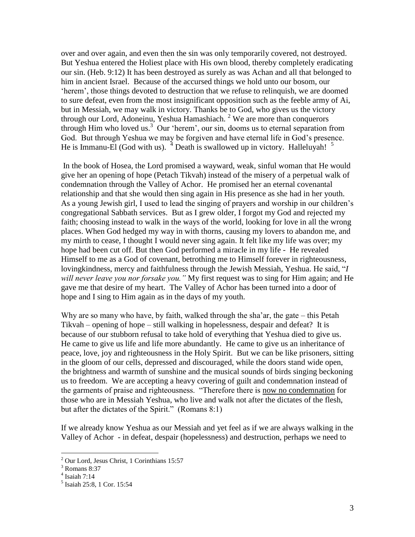over and over again, and even then the sin was only temporarily covered, not destroyed. But Yeshua entered the Holiest place with His own blood, thereby completely eradicating our sin. (Heb. 9:12) It has been destroyed as surely as was Achan and all that belonged to him in ancient Israel. Because of the accursed things we hold unto our bosom, our 'herem', those things devoted to destruction that we refuse to relinquish, we are doomed to sure defeat, even from the most insignificant opposition such as the feeble army of Ai, but in Messiah, we may walk in victory. Thanks be to God, who gives us the victory through our Lord, Adoneinu, Yeshua Hamashiach.<sup>2</sup> We are more than conquerors through Him who loved us.<sup>3</sup> Our 'herem', our sin, dooms us to eternal separation from God. But through Yeshua we may be forgiven and have eternal life in God's presence. He is Immanu-El (God with us).  $4$  Death is swallowed up in victory. Halleluyah!  $5$ 

In the book of Hosea, the Lord promised a wayward, weak, sinful woman that He would give her an opening of hope (Petach Tikvah) instead of the misery of a perpetual walk of condemnation through the Valley of Achor. He promised her an eternal covenantal relationship and that she would then sing again in His presence as she had in her youth. As a young Jewish girl, I used to lead the singing of prayers and worship in our children"s congregational Sabbath services. But as I grew older, I forgot my God and rejected my faith; choosing instead to walk in the ways of the world, looking for love in all the wrong places. When God hedged my way in with thorns, causing my lovers to abandon me, and my mirth to cease, I thought I would never sing again. It felt like my life was over; my hope had been cut off. But then God performed a miracle in my life - He revealed Himself to me as a God of covenant, betrothing me to Himself forever in righteousness, lovingkindness, mercy and faithfulness through the Jewish Messiah, Yeshua. He said, "*I will never leave you nor forsake you."* My first request was to sing for Him again; and He gave me that desire of my heart. The Valley of Achor has been turned into a door of hope and I sing to Him again as in the days of my youth.

Why are so many who have, by faith, walked through the sha'ar, the gate – this Petah Tikvah – opening of hope – still walking in hopelessness, despair and defeat? It is because of our stubborn refusal to take hold of everything that Yeshua died to give us. He came to give us life and life more abundantly. He came to give us an inheritance of peace, love, joy and righteousness in the Holy Spirit. But we can be like prisoners, sitting in the gloom of our cells, depressed and discouraged, while the doors stand wide open, the brightness and warmth of sunshine and the musical sounds of birds singing beckoning us to freedom. We are accepting a heavy covering of guilt and condemnation instead of the garments of praise and righteousness. "Therefore there is now no condemnation for those who are in Messiah Yeshua, who live and walk not after the dictates of the flesh, but after the dictates of the Spirit." (Romans 8:1)

If we already know Yeshua as our Messiah and yet feel as if we are always walking in the Valley of Achor - in defeat, despair (hopelessness) and destruction, perhaps we need to

 $\overline{a}$ 

<sup>2</sup> Our Lord, Jesus Christ, 1 Corinthians 15:57

 $3$  Romans 8:37

<sup>4</sup> Isaiah 7:14

<sup>5</sup> Isaiah 25:8, 1 Cor. 15:54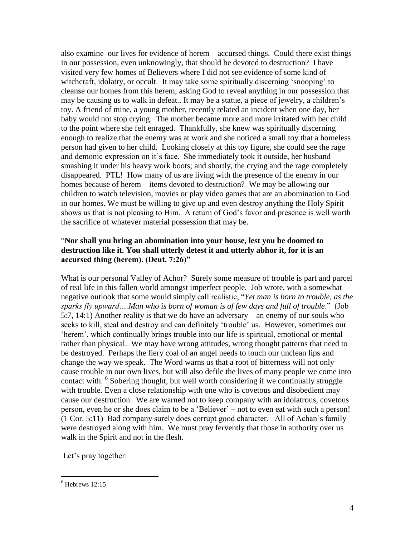also examine our lives for evidence of herem – accursed things. Could there exist things in our possession, even unknowingly, that should be devoted to destruction? I have visited very few homes of Believers where I did not see evidence of some kind of witchcraft, idolatry, or occult. It may take some spiritually discerning "snooping" to cleanse our homes from this herem, asking God to reveal anything in our possession that may be causing us to walk in defeat.. It may be a statue, a piece of jewelry, a children"s toy. A friend of mine, a young mother, recently related an incident when one day, her baby would not stop crying. The mother became more and more irritated with her child to the point where she felt enraged. Thankfully, she knew was spiritually discerning enough to realize that the enemy was at work and she noticed a small toy that a homeless person had given to her child. Looking closely at this toy figure, she could see the rage and demonic expression on it's face. She immediately took it outside, her husband smashing it under his heavy work boots; and shortly, the crying and the rage completely disappeared. PTL! How many of us are living with the presence of the enemy in our homes because of herem – items devoted to destruction? We may be allowing our children to watch television, movies or play video games that are an abomination to God in our homes. We must be willing to give up and even destroy anything the Holy Spirit shows us that is not pleasing to Him. A return of God's favor and presence is well worth the sacrifice of whatever material possession that may be.

#### "**Nor shall you bring an abomination into your house, lest you be doomed to destruction like it. You shall utterly detest it and utterly abhor it, for it is an accursed thing (herem). (Deut. 7:26)"**

What is our personal Valley of Achor? Surely some measure of trouble is part and parcel of real life in this fallen world amongst imperfect people. Job wrote, with a somewhat negative outlook that some would simply call realistic, "*Yet man is born to trouble, as the sparks fly upward….Man who is born of woman is of few days and full of trouble*." (Job 5:7, 14:1) Another reality is that we do have an adversary – an enemy of our souls who seeks to kill, steal and destroy and can definitely "trouble" us. However, sometimes our "herem", which continually brings trouble into our life is spiritual, emotional or mental rather than physical. We may have wrong attitudes, wrong thought patterns that need to be destroyed. Perhaps the fiery coal of an angel needs to touch our unclean lips and change the way we speak. The Word warns us that a root of bitterness will not only cause trouble in our own lives, but will also defile the lives of many people we come into contact with. <sup>6</sup> Sobering thought, but well worth considering if we continually struggle with trouble. Even a close relationship with one who is covetous and disobedient may cause our destruction. We are warned not to keep company with an idolatrous, covetous person, even he or she does claim to be a "Believer" – not to even eat with such a person! (1 Cor. 5:11) Bad company surely does corrupt good character. All of Achan"s family were destroyed along with him. We must pray fervently that those in authority over us walk in the Spirit and not in the flesh.

Let's pray together:

 $\overline{a}$  $6$  Hebrews 12:15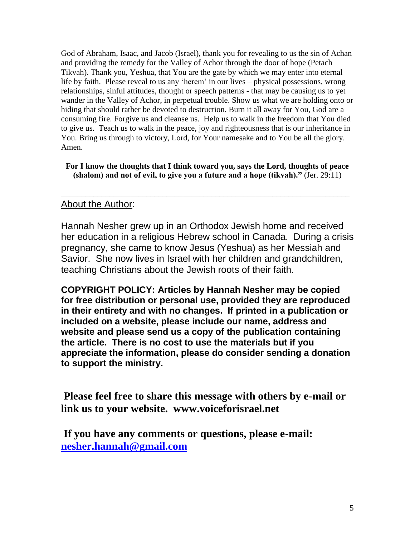God of Abraham, Isaac, and Jacob (Israel), thank you for revealing to us the sin of Achan and providing the remedy for the Valley of Achor through the door of hope (Petach Tikvah). Thank you, Yeshua, that You are the gate by which we may enter into eternal life by faith. Please reveal to us any 'herem' in our lives – physical possessions, wrong relationships, sinful attitudes, thought or speech patterns - that may be causing us to yet wander in the Valley of Achor, in perpetual trouble. Show us what we are holding onto or hiding that should rather be devoted to destruction. Burn it all away for You, God are a consuming fire. Forgive us and cleanse us. Help us to walk in the freedom that You died to give us. Teach us to walk in the peace, joy and righteousness that is our inheritance in You. Bring us through to victory, Lord, for Your namesake and to You be all the glory. Amen.

**For I know the thoughts that I think toward you, says the Lord, thoughts of peace (shalom) and not of evil, to give you a future and a hope (tikvah)."** (Jer. 29:11)

\_\_\_\_\_\_\_\_\_\_\_\_\_\_\_\_\_\_\_\_\_\_\_\_\_\_\_\_\_\_\_\_\_\_\_\_\_\_\_\_\_\_\_\_\_\_\_\_\_\_\_\_\_\_\_\_\_\_\_\_\_\_\_\_\_\_\_\_\_\_\_

### About the Author:

Hannah Nesher grew up in an Orthodox Jewish home and received her education in a religious Hebrew school in Canada. During a crisis pregnancy, she came to know Jesus (Yeshua) as her Messiah and Savior. She now lives in Israel with her children and grandchildren, teaching Christians about the Jewish roots of their faith.

**COPYRIGHT POLICY: Articles by Hannah Nesher may be copied for free distribution or personal use, provided they are reproduced in their entirety and with no changes. If printed in a publication or included on a website, please include our name, address and website and please send us a copy of the publication containing the article. There is no cost to use the materials but if you appreciate the information, please do consider sending a donation to support the ministry.**

**Please feel free to share this message with others by e-mail or link us to your website. www.voiceforisrael.net**

**If you have any comments or questions, please e-mail: [nesher.hannah@gmail.com](mailto:nesher.hannah@gmail.com)**